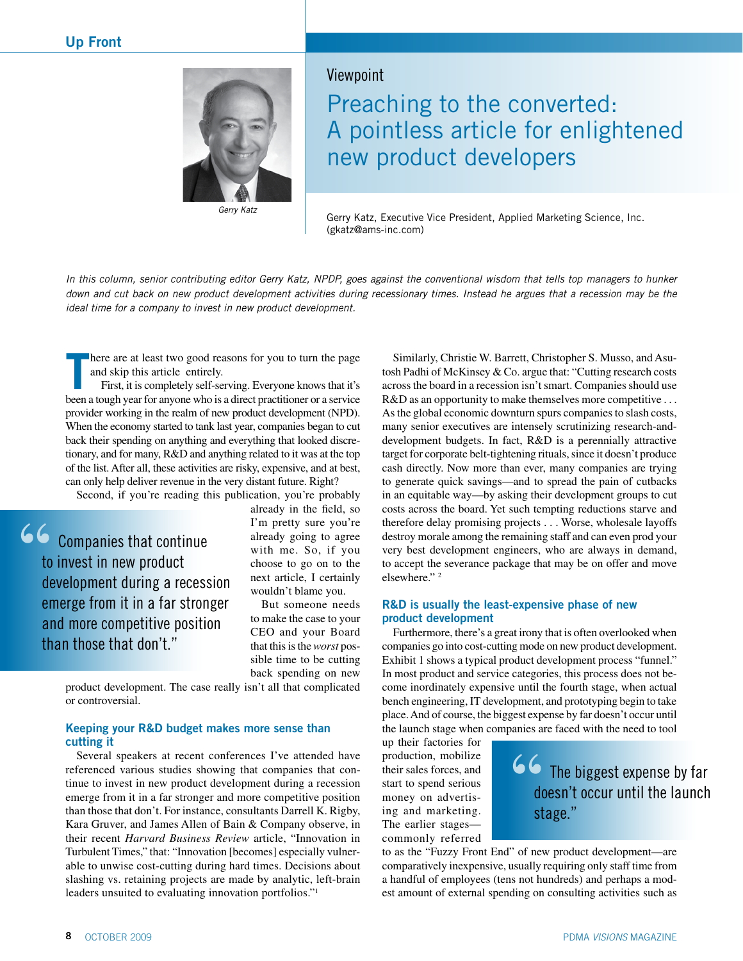

*Gerry Katz*

### Viewpoint

Preaching to the converted: A pointless article for enlightened new product developers

Gerry Katz, Executive Vice President, Applied Marketing Science, Inc. (gkatz@ams-inc.com)

*In this column, senior contributing editor Gerry Katz, NPDP, goes against the conventional wisdom that tells top managers to hunker down and cut back on new product development activities during recessionary times. Instead he argues that a recession may be the ideal time for a company to invest in new product development.* 

here are at least two good reasons for you to turn the page and skip this article entirely.

**T** First, it is completely self-serving. Everyone knows that it's been a tough year for anyone who is a direct practitioner or a service provider working in the realm of new product development (NPD). When the economy started to tank last year, companies began to cut back their spending on anything and everything that looked discretionary, and for many, R&D and anything related to it was at the top of the list. After all, these activities are risky, expensive, and at best, can only help deliver revenue in the very distant future. Right?

Second, if you're reading this publication, you're probably

**66** Companies that continue to invest in new product development during a recession emerge from it in a far stronger and more competitive position than those that don't."

already in the field, so I'm pretty sure you're already going to agree with me. So, if you choose to go on to the next article, I certainly wouldn't blame you.

But someone needs to make the case to your CEO and your Board that this is the *worst* possible time to be cutting back spending on new

product development. The case really isn't all that complicated or controversial.

### **Keeping your R&D budget makes more sense than cutting it**

Several speakers at recent conferences I've attended have referenced various studies showing that companies that continue to invest in new product development during a recession emerge from it in a far stronger and more competitive position than those that don't. For instance, consultants Darrell K. Rigby, Kara Gruver, and James Allen of Bain & Company observe, in their recent *Harvard Business Review* article, "Innovation in Turbulent Times," that: "Innovation [becomes] especially vulnerable to unwise cost-cutting during hard times. Decisions about slashing vs. retaining projects are made by analytic, left-brain leaders unsuited to evaluating innovation portfolios."1

Similarly, Christie W. Barrett, Christopher S. Musso, and Asutosh Padhi of McKinsey & Co. argue that: "Cutting research costs across the board in a recession isn't smart. Companies should use R&D as an opportunity to make themselves more competitive ... As the global economic downturn spurs companies to slash costs, many senior executives are intensely scrutinizing research-anddevelopment budgets. In fact, R&D is a perennially attractive target for corporate belt-tightening rituals, since it doesn't produce cash directly. Now more than ever, many companies are trying to generate quick savings—and to spread the pain of cutbacks in an equitable way—by asking their development groups to cut costs across the board. Yet such tempting reductions starve and therefore delay promising projects . . . Worse, wholesale layoffs destroy morale among the remaining staff and can even prod your very best development engineers, who are always in demand, to accept the severance package that may be on offer and move elsewhere." 2

### **R&D is usually the least-expensive phase of new product development**

Furthermore, there's a great irony that is often overlooked when companies go into cost-cutting mode on new product development. Exhibit 1 shows a typical product development process "funnel." In most product and service categories, this process does not become inordinately expensive until the fourth stage, when actual bench engineering, IT development, and prototyping begin to take place. And of course, the biggest expense by far doesn't occur until the launch stage when companies are faced with the need to tool

up their factories for production, mobilize their sales forces, and start to spend serious money on advertising and marketing. The earlier stages commonly referred

## **66** The biggest expense by far doesn't occur until the launch stage."

to as the "Fuzzy Front End" of new product development—are comparatively inexpensive, usually requiring only staff time from a handful of employees (tens not hundreds) and perhaps a modest amount of external spending on consulting activities such as